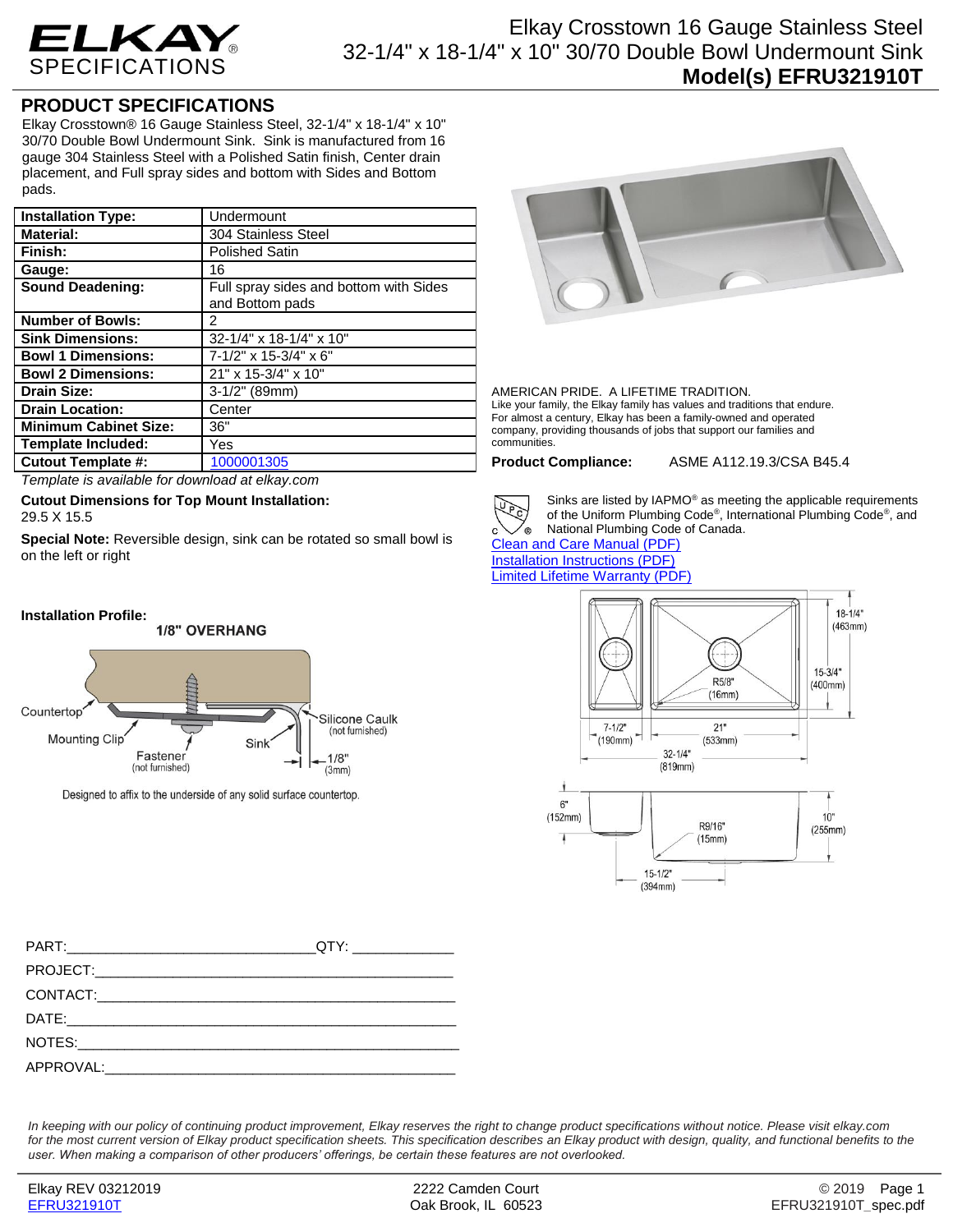

## Elkay Crosstown 16 Gauge Stainless Steel 32-1/4" x 18-1/4" x 10" 30/70 Double Bowl Undermount Sink **Model(s) EFRU321910T**

## **PRODUCT SPECIFICATIONS**

Elkay Crosstown® 16 Gauge Stainless Steel, 32-1/4" x 18-1/4" x 10" 30/70 Double Bowl Undermount Sink. Sink is manufactured from 16 gauge 304 Stainless Steel with a Polished Satin finish, Center drain placement, and Full spray sides and bottom with Sides and Bottom pads.

| <b>Installation Type:</b>    | Undermount                                                |
|------------------------------|-----------------------------------------------------------|
| <b>Material:</b>             | 304 Stainless Steel                                       |
| Finish:                      | <b>Polished Satin</b>                                     |
| Gauge:                       | 16                                                        |
| <b>Sound Deadening:</b>      | Full spray sides and bottom with Sides<br>and Bottom pads |
| <b>Number of Bowls:</b>      | 2                                                         |
| <b>Sink Dimensions:</b>      | 32-1/4" x 18-1/4" x 10"                                   |
| <b>Bowl 1 Dimensions:</b>    | 7-1/2" x 15-3/4" x 6"                                     |
| <b>Bowl 2 Dimensions:</b>    | 21" x 15-3/4" x 10"                                       |
| <b>Drain Size:</b>           | $3-1/2"$ (89mm)                                           |
| <b>Drain Location:</b>       | Center                                                    |
| <b>Minimum Cabinet Size:</b> | 36"                                                       |
| <b>Template Included:</b>    | Yes                                                       |
| <b>Cutout Template #:</b>    | 1000001305                                                |

*Template is available for download at elkay.com*

**Cutout Dimensions for Top Mount Installation:** 29.5 X 15.5

**Special Note:** Reversible design, sink can be rotated so small bowl is on the left or right



Designed to affix to the underside of any solid surface countertop.



AMERICAN PRIDE. A LIFETIME TRADITION. Like your family, the Elkay family has values and traditions that endure. For almost a century, Elkay has been a family-owned and operated company, providing thousands of jobs that support our families and communities.

**Product Compliance:** ASME A112.19.3/CSA B45.4



Sinks are listed by IAPMO® as meeting the applicable requirements of the Uniform Plumbing Code® , International Plumbing Code® , and National Plumbing Code of Canada.

[Clean and Care Manual \(PDF\)](http://www.elkay.com/wcsstore/lkdocs/care-cleaning-install-warranty-sheets/residential%20and%20commercial%20care%20%20cleaning.pdf) [Installation Instructions \(PDF\)](http://www.elkay.com/wcsstore/lkdocs/care-cleaning-install-warranty-sheets/74180164.pdf) [Limited Lifetime Warranty](http://www.elkay.com/wcsstore/lkdocs/care-cleaning-install-warranty-sheets/residential%20sinks%20warranty.pdf) (PDF)



*In keeping with our policy of continuing product improvement, Elkay reserves the right to change product specifications without notice. Please visit elkay.com*  for the most current version of Elkay product specification sheets. This specification describes an Elkay product with design, quality, and functional benefits to the *user. When making a comparison of other producers' offerings, be certain these features are not overlooked.*